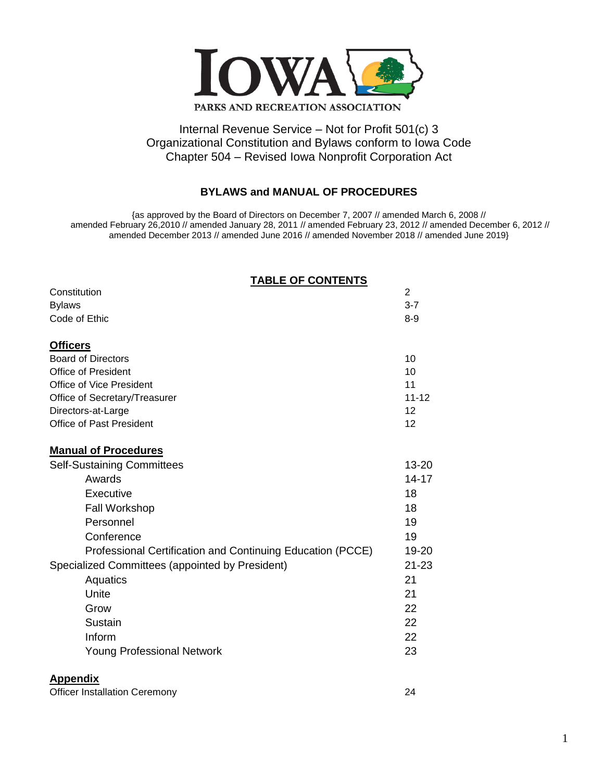

# Internal Revenue Service – Not for Profit 501(c) 3 Organizational Constitution and Bylaws conform to Iowa Code Chapter 504 – Revised Iowa Nonprofit Corporation Act

# **BYLAWS and MANUAL OF PROCEDURES**

{as approved by the Board of Directors on December 7, 2007 // amended March 6, 2008 // amended February 26,2010 // amended January 28, 2011 // amended February 23, 2012 // amended December 6, 2012 // amended December 2013 // amended June 2016 // amended November 2018 // amended June 2019}

| <b>TABLE OF CONTENTS</b>                                   |                |
|------------------------------------------------------------|----------------|
| Constitution                                               | $\overline{2}$ |
| <b>Bylaws</b>                                              | $3 - 7$        |
| Code of Ethic                                              | $8-9$          |
| <b>Officers</b>                                            |                |
| <b>Board of Directors</b>                                  | 10             |
| <b>Office of President</b>                                 | 10             |
| Office of Vice President                                   | 11             |
| Office of Secretary/Treasurer                              | $11 - 12$      |
| Directors-at-Large                                         | 12             |
| <b>Office of Past President</b>                            | 12             |
| <b>Manual of Procedures</b>                                |                |
| <b>Self-Sustaining Committees</b>                          | 13-20          |
| Awards                                                     | $14 - 17$      |
| Executive                                                  | 18             |
| <b>Fall Workshop</b>                                       | 18             |
| Personnel                                                  | 19             |
| Conference                                                 | 19             |
| Professional Certification and Continuing Education (PCCE) | 19-20          |
| Specialized Committees (appointed by President)            | $21 - 23$      |
| Aquatics                                                   | 21             |
| Unite                                                      | 21             |
| Grow                                                       | 22             |
| Sustain                                                    | 22             |
| Inform                                                     | 22             |
| <b>Young Professional Network</b>                          | 23             |
|                                                            |                |

## **Appendix**

| <b>Officer Installation Ceremony</b> |  |
|--------------------------------------|--|
|                                      |  |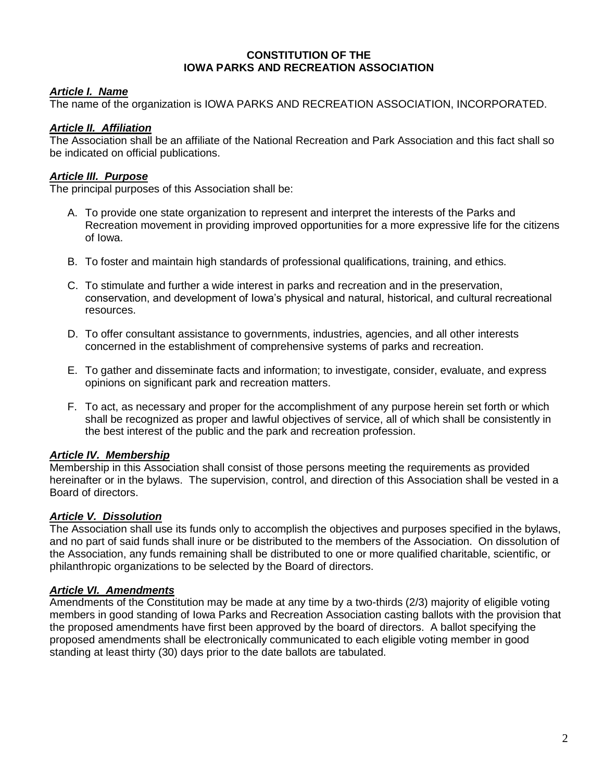#### **CONSTITUTION OF THE IOWA PARKS AND RECREATION ASSOCIATION**

## *Article I. Name*

The name of the organization is IOWA PARKS AND RECREATION ASSOCIATION, INCORPORATED.

## *Article II. Affiliation*

The Association shall be an affiliate of the National Recreation and Park Association and this fact shall so be indicated on official publications.

## *Article III. Purpose*

The principal purposes of this Association shall be:

- A. To provide one state organization to represent and interpret the interests of the Parks and Recreation movement in providing improved opportunities for a more expressive life for the citizens of Iowa.
- B. To foster and maintain high standards of professional qualifications, training, and ethics.
- C. To stimulate and further a wide interest in parks and recreation and in the preservation, conservation, and development of Iowa's physical and natural, historical, and cultural recreational resources.
- D. To offer consultant assistance to governments, industries, agencies, and all other interests concerned in the establishment of comprehensive systems of parks and recreation.
- E. To gather and disseminate facts and information; to investigate, consider, evaluate, and express opinions on significant park and recreation matters.
- F. To act, as necessary and proper for the accomplishment of any purpose herein set forth or which shall be recognized as proper and lawful objectives of service, all of which shall be consistently in the best interest of the public and the park and recreation profession.

## *Article IV. Membership*

Membership in this Association shall consist of those persons meeting the requirements as provided hereinafter or in the bylaws. The supervision, control, and direction of this Association shall be vested in a Board of directors.

## *Article V. Dissolution*

The Association shall use its funds only to accomplish the objectives and purposes specified in the bylaws, and no part of said funds shall inure or be distributed to the members of the Association. On dissolution of the Association, any funds remaining shall be distributed to one or more qualified charitable, scientific, or philanthropic organizations to be selected by the Board of directors.

## *Article VI. Amendments*

Amendments of the Constitution may be made at any time by a two-thirds (2/3) majority of eligible voting members in good standing of Iowa Parks and Recreation Association casting ballots with the provision that the proposed amendments have first been approved by the board of directors. A ballot specifying the proposed amendments shall be electronically communicated to each eligible voting member in good standing at least thirty (30) days prior to the date ballots are tabulated.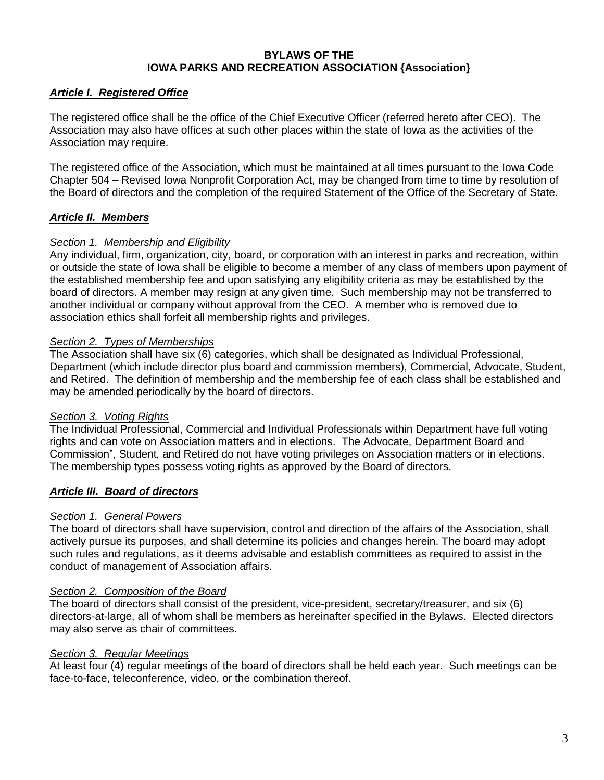### **BYLAWS OF THE IOWA PARKS AND RECREATION ASSOCIATION {Association}**

## *Article I. Registered Office*

The registered office shall be the office of the Chief Executive Officer (referred hereto after CEO). The Association may also have offices at such other places within the state of Iowa as the activities of the Association may require.

The registered office of the Association, which must be maintained at all times pursuant to the Iowa Code Chapter 504 – Revised Iowa Nonprofit Corporation Act, may be changed from time to time by resolution of the Board of directors and the completion of the required Statement of the Office of the Secretary of State.

## *Article II. Members*

### *Section 1. Membership and Eligibility*

Any individual, firm, organization, city, board, or corporation with an interest in parks and recreation, within or outside the state of Iowa shall be eligible to become a member of any class of members upon payment of the established membership fee and upon satisfying any eligibility criteria as may be established by the board of directors. A member may resign at any given time. Such membership may not be transferred to another individual or company without approval from the CEO. A member who is removed due to association ethics shall forfeit all membership rights and privileges.

### *Section 2. Types of Memberships*

The Association shall have six (6) categories, which shall be designated as Individual Professional, Department (which include director plus board and commission members), Commercial, Advocate, Student, and Retired. The definition of membership and the membership fee of each class shall be established and may be amended periodically by the board of directors.

### *Section 3. Voting Rights*

The Individual Professional, Commercial and Individual Professionals within Department have full voting rights and can vote on Association matters and in elections. The Advocate, Department Board and Commission", Student, and Retired do not have voting privileges on Association matters or in elections. The membership types possess voting rights as approved by the Board of directors.

### *Article III. Board of directors*

## *Section 1. General Powers*

The board of directors shall have supervision, control and direction of the affairs of the Association, shall actively pursue its purposes, and shall determine its policies and changes herein. The board may adopt such rules and regulations, as it deems advisable and establish committees as required to assist in the conduct of management of Association affairs.

#### *Section 2. Composition of the Board*

The board of directors shall consist of the president, vice-president, secretary/treasurer, and six (6) directors-at-large, all of whom shall be members as hereinafter specified in the Bylaws. Elected directors may also serve as chair of committees.

### *Section 3. Regular Meetings*

At least four (4) regular meetings of the board of directors shall be held each year. Such meetings can be face-to-face, teleconference, video, or the combination thereof.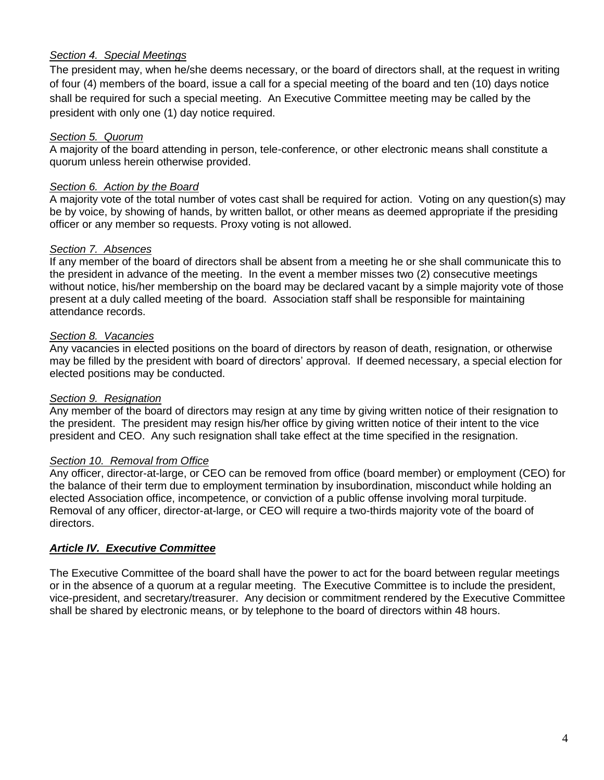### *Section 4. Special Meetings*

The president may, when he/she deems necessary, or the board of directors shall, at the request in writing of four (4) members of the board, issue a call for a special meeting of the board and ten (10) days notice shall be required for such a special meeting. An Executive Committee meeting may be called by the president with only one (1) day notice required.

## *Section 5. Quorum*

A majority of the board attending in person, tele-conference, or other electronic means shall constitute a quorum unless herein otherwise provided.

## *Section 6. Action by the Board*

A majority vote of the total number of votes cast shall be required for action. Voting on any question(s) may be by voice, by showing of hands, by written ballot, or other means as deemed appropriate if the presiding officer or any member so requests. Proxy voting is not allowed.

## *Section 7. Absences*

If any member of the board of directors shall be absent from a meeting he or she shall communicate this to the president in advance of the meeting. In the event a member misses two (2) consecutive meetings without notice, his/her membership on the board may be declared vacant by a simple majority vote of those present at a duly called meeting of the board. Association staff shall be responsible for maintaining attendance records.

## *Section 8. Vacancies*

Any vacancies in elected positions on the board of directors by reason of death, resignation, or otherwise may be filled by the president with board of directors' approval. If deemed necessary, a special election for elected positions may be conducted.

### *Section 9. Resignation*

Any member of the board of directors may resign at any time by giving written notice of their resignation to the president. The president may resign his/her office by giving written notice of their intent to the vice president and CEO. Any such resignation shall take effect at the time specified in the resignation.

### *Section 10. Removal from Office*

Any officer, director-at-large, or CEO can be removed from office (board member) or employment (CEO) for the balance of their term due to employment termination by insubordination, misconduct while holding an elected Association office, incompetence, or conviction of a public offense involving moral turpitude. Removal of any officer, director-at-large, or CEO will require a two-thirds majority vote of the board of directors.

## *Article IV. Executive Committee*

The Executive Committee of the board shall have the power to act for the board between regular meetings or in the absence of a quorum at a regular meeting. The Executive Committee is to include the president, vice-president, and secretary/treasurer. Any decision or commitment rendered by the Executive Committee shall be shared by electronic means, or by telephone to the board of directors within 48 hours.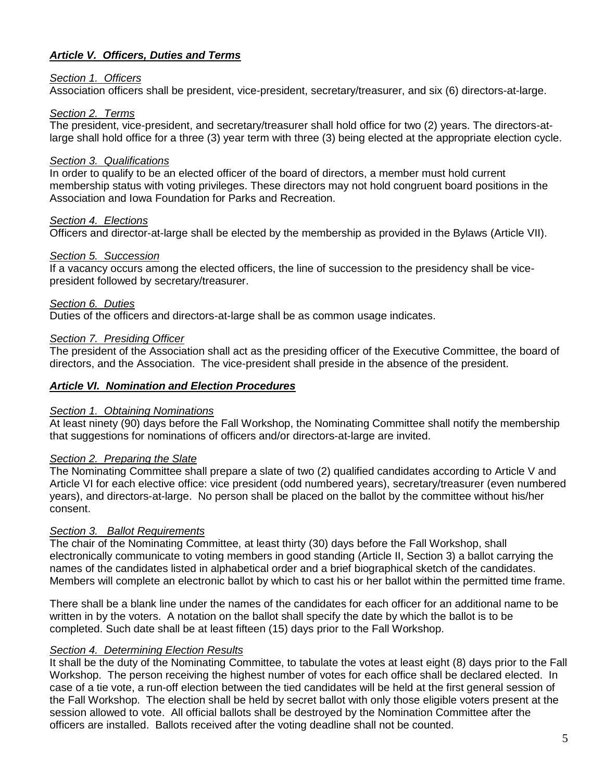## *Article V. Officers, Duties and Terms*

#### *Section 1. Officers*

Association officers shall be president, vice-president, secretary/treasurer, and six (6) directors-at-large.

#### *Section 2. Terms*

The president, vice-president, and secretary/treasurer shall hold office for two (2) years. The directors-atlarge shall hold office for a three (3) year term with three (3) being elected at the appropriate election cycle.

### *Section 3. Qualifications*

In order to qualify to be an elected officer of the board of directors, a member must hold current membership status with voting privileges. These directors may not hold congruent board positions in the Association and Iowa Foundation for Parks and Recreation.

#### *Section 4. Elections*

Officers and director-at-large shall be elected by the membership as provided in the Bylaws (Article VII).

#### *Section 5. Succession*

If a vacancy occurs among the elected officers, the line of succession to the presidency shall be vicepresident followed by secretary/treasurer.

#### *Section 6. Duties*

Duties of the officers and directors-at-large shall be as common usage indicates.

#### *Section 7. Presiding Officer*

The president of the Association shall act as the presiding officer of the Executive Committee, the board of directors, and the Association. The vice-president shall preside in the absence of the president.

#### *Article VI. Nomination and Election Procedures*

#### *Section 1. Obtaining Nominations*

At least ninety (90) days before the Fall Workshop, the Nominating Committee shall notify the membership that suggestions for nominations of officers and/or directors-at-large are invited.

### *Section 2. Preparing the Slate*

The Nominating Committee shall prepare a slate of two (2) qualified candidates according to Article V and Article VI for each elective office: vice president (odd numbered years), secretary/treasurer (even numbered years), and directors-at-large. No person shall be placed on the ballot by the committee without his/her consent.

### *Section 3. Ballot Requirements*

The chair of the Nominating Committee, at least thirty (30) days before the Fall Workshop, shall electronically communicate to voting members in good standing (Article II, Section 3) a ballot carrying the names of the candidates listed in alphabetical order and a brief biographical sketch of the candidates. Members will complete an electronic ballot by which to cast his or her ballot within the permitted time frame.

There shall be a blank line under the names of the candidates for each officer for an additional name to be written in by the voters. A notation on the ballot shall specify the date by which the ballot is to be completed. Such date shall be at least fifteen (15) days prior to the Fall Workshop.

### *Section 4. Determining Election Results*

It shall be the duty of the Nominating Committee, to tabulate the votes at least eight (8) days prior to the Fall Workshop. The person receiving the highest number of votes for each office shall be declared elected. In case of a tie vote, a run-off election between the tied candidates will be held at the first general session of the Fall Workshop. The election shall be held by secret ballot with only those eligible voters present at the session allowed to vote. All official ballots shall be destroyed by the Nomination Committee after the officers are installed. Ballots received after the voting deadline shall not be counted.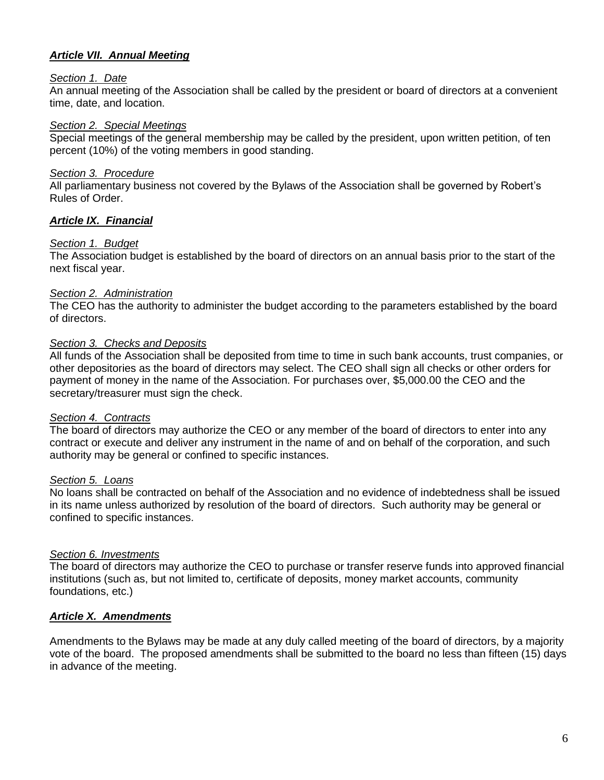## *Article VII. Annual Meeting*

#### *Section 1. Date*

An annual meeting of the Association shall be called by the president or board of directors at a convenient time, date, and location.

#### *Section 2. Special Meetings*

Special meetings of the general membership may be called by the president, upon written petition, of ten percent (10%) of the voting members in good standing.

### *Section 3. Procedure*

All parliamentary business not covered by the Bylaws of the Association shall be governed by Robert's Rules of Order.

### *Article IX. Financial*

### *Section 1. Budget*

The Association budget is established by the board of directors on an annual basis prior to the start of the next fiscal year.

#### *Section 2. Administration*

The CEO has the authority to administer the budget according to the parameters established by the board of directors.

#### *Section 3. Checks and Deposits*

All funds of the Association shall be deposited from time to time in such bank accounts, trust companies, or other depositories as the board of directors may select. The CEO shall sign all checks or other orders for payment of money in the name of the Association. For purchases over, \$5,000.00 the CEO and the secretary/treasurer must sign the check.

#### *Section 4. Contracts*

The board of directors may authorize the CEO or any member of the board of directors to enter into any contract or execute and deliver any instrument in the name of and on behalf of the corporation, and such authority may be general or confined to specific instances.

#### *Section 5. Loans*

No loans shall be contracted on behalf of the Association and no evidence of indebtedness shall be issued in its name unless authorized by resolution of the board of directors. Such authority may be general or confined to specific instances.

### *Section 6. Investments*

The board of directors may authorize the CEO to purchase or transfer reserve funds into approved financial institutions (such as, but not limited to, certificate of deposits, money market accounts, community foundations, etc.)

### *Article X. Amendments*

Amendments to the Bylaws may be made at any duly called meeting of the board of directors, by a majority vote of the board. The proposed amendments shall be submitted to the board no less than fifteen (15) days in advance of the meeting.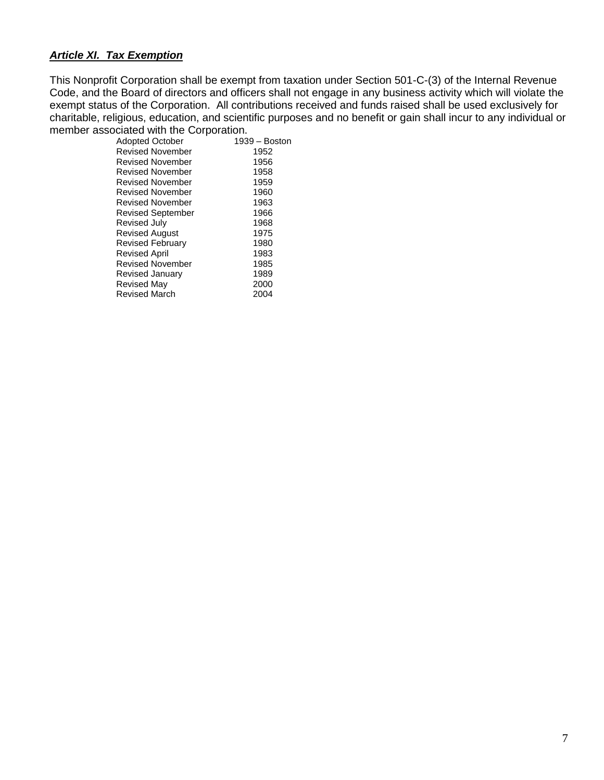## *Article XI. Tax Exemption*

This Nonprofit Corporation shall be exempt from taxation under Section 501-C-(3) of the Internal Revenue Code, and the Board of directors and officers shall not engage in any business activity which will violate the exempt status of the Corporation. All contributions received and funds raised shall be used exclusively for charitable, religious, education, and scientific purposes and no benefit or gain shall incur to any individual or member associated with the Corporation.

| <b>Adopted October</b>   | 1939 – Boston |
|--------------------------|---------------|
| <b>Revised November</b>  | 1952          |
| Revised November         | 1956          |
| <b>Revised November</b>  | 1958          |
| Revised November         | 1959          |
| <b>Revised November</b>  | 1960          |
| <b>Revised November</b>  | 1963          |
| <b>Revised September</b> | 1966          |
| Revised July             | 1968          |
| <b>Revised August</b>    | 1975          |
| <b>Revised February</b>  | 1980          |
| Revised April            | 1983          |
| <b>Revised November</b>  | 1985          |
| Revised January          | 1989          |
| Revised May              | 2000          |
| <b>Revised March</b>     | 2004          |
|                          |               |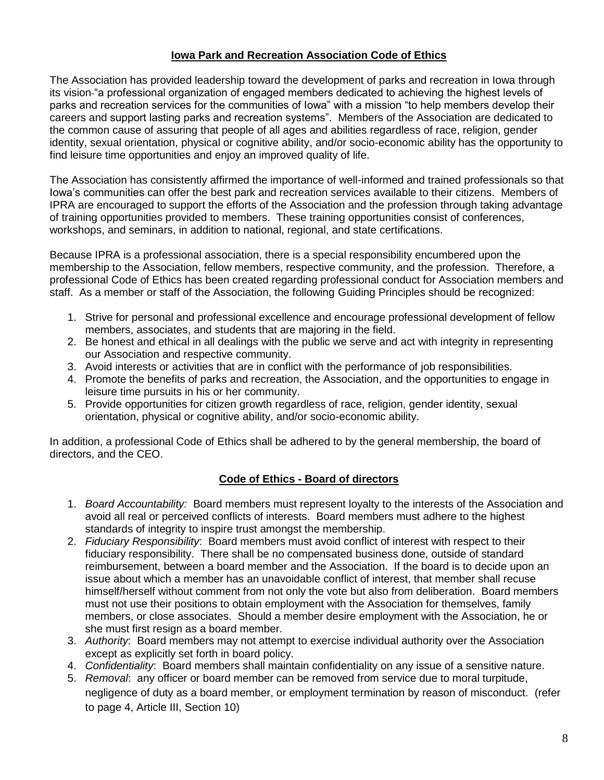## **Iowa Park and Recreation Association Code of Ethics**

The Association has provided leadership toward the development of parks and recreation in Iowa through its vision "a professional organization of engaged members dedicated to achieving the highest levels of parks and recreation services for the communities of Iowa" with a mission "to help members develop their careers and support lasting parks and recreation systems". Members of the Association are dedicated to the common cause of assuring that people of all ages and abilities regardless of race, religion, gender identity, sexual orientation, physical or cognitive ability, and/or socio-economic ability has the opportunity to find leisure time opportunities and enjoy an improved quality of life.

The Association has consistently affirmed the importance of well-informed and trained professionals so that Iowa's communities can offer the best park and recreation services available to their citizens. Members of IPRA are encouraged to support the efforts of the Association and the profession through taking advantage of training opportunities provided to members. These training opportunities consist of conferences, workshops, and seminars, in addition to national, regional, and state certifications.

Because IPRA is a professional association, there is a special responsibility encumbered upon the membership to the Association, fellow members, respective community, and the profession. Therefore, a professional Code of Ethics has been created regarding professional conduct for Association members and staff. As a member or staff of the Association, the following Guiding Principles should be recognized:

- 1. Strive for personal and professional excellence and encourage professional development of fellow members, associates, and students that are majoring in the field.
- 2. Be honest and ethical in all dealings with the public we serve and act with integrity in representing our Association and respective community.
- 3. Avoid interests or activities that are in conflict with the performance of job responsibilities.
- 4. Promote the benefits of parks and recreation, the Association, and the opportunities to engage in leisure time pursuits in his or her community.
- 5. Provide opportunities for citizen growth regardless of race, religion, gender identity, sexual orientation, physical or cognitive ability, and/or socio-economic ability.

In addition, a professional Code of Ethics shall be adhered to by the general membership, the board of directors, and the CEO.

## **Code of Ethics - Board of directors**

- 1. *Board Accountability:* Board members must represent loyalty to the interests of the Association and avoid all real or perceived conflicts of interests. Board members must adhere to the highest standards of integrity to inspire trust amongst the membership.
- 2. *Fiduciary Responsibility*: Board members must avoid conflict of interest with respect to their fiduciary responsibility. There shall be no compensated business done, outside of standard reimbursement, between a board member and the Association. If the board is to decide upon an issue about which a member has an unavoidable conflict of interest, that member shall recuse himself/herself without comment from not only the vote but also from deliberation. Board members must not use their positions to obtain employment with the Association for themselves, family members, or close associates. Should a member desire employment with the Association, he or she must first resign as a board member.
- 3. *Authority*: Board members may not attempt to exercise individual authority over the Association except as explicitly set forth in board policy.
- 4. *Confidentiality*: Board members shall maintain confidentiality on any issue of a sensitive nature.
- 5. *Removal*: any officer or board member can be removed from service due to moral turpitude, negligence of duty as a board member, or employment termination by reason of misconduct. (refer to page 4, Article III, Section 10)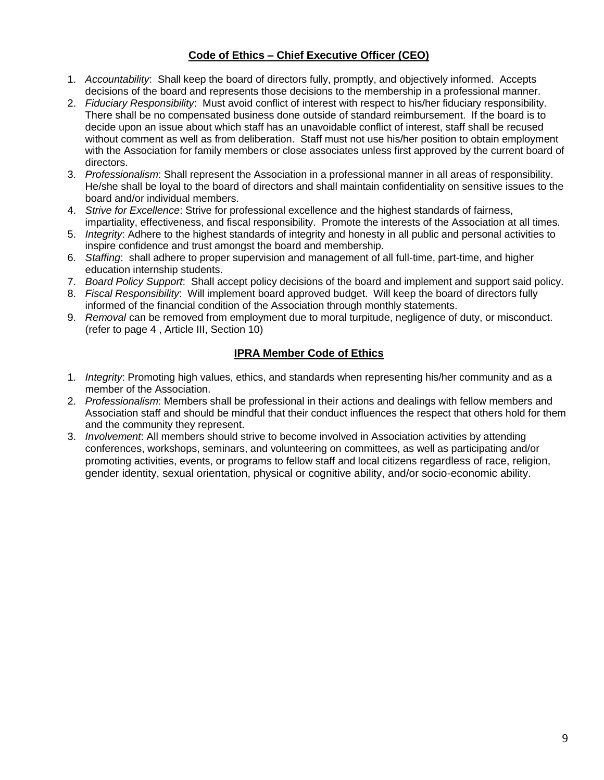## **Code of Ethics – Chief Executive Officer (CEO)**

- 1. *Accountability*: Shall keep the board of directors fully, promptly, and objectively informed. Accepts decisions of the board and represents those decisions to the membership in a professional manner.
- 2. *Fiduciary Responsibility*: Must avoid conflict of interest with respect to his/her fiduciary responsibility. There shall be no compensated business done outside of standard reimbursement. If the board is to decide upon an issue about which staff has an unavoidable conflict of interest, staff shall be recused without comment as well as from deliberation. Staff must not use his/her position to obtain employment with the Association for family members or close associates unless first approved by the current board of directors.
- 3. *Professionalism*: Shall represent the Association in a professional manner in all areas of responsibility. He/she shall be loyal to the board of directors and shall maintain confidentiality on sensitive issues to the board and/or individual members.
- 4. *Strive for Excellence*: Strive for professional excellence and the highest standards of fairness, impartiality, effectiveness, and fiscal responsibility. Promote the interests of the Association at all times.
- 5. *Integrity*: Adhere to the highest standards of integrity and honesty in all public and personal activities to inspire confidence and trust amongst the board and membership.
- 6. *Staffing*: shall adhere to proper supervision and management of all full-time, part-time, and higher education internship students.
- 7. *Board Policy Support*: Shall accept policy decisions of the board and implement and support said policy.
- 8. *Fiscal Responsibility*: Will implement board approved budget. Will keep the board of directors fully informed of the financial condition of the Association through monthly statements.
- 9. *Removal* can be removed from employment due to moral turpitude, negligence of duty, or misconduct. (refer to page 4 , Article III, Section 10)

## **IPRA Member Code of Ethics**

- 1. *Integrity*: Promoting high values, ethics, and standards when representing his/her community and as a member of the Association.
- 2. *Professionalism*: Members shall be professional in their actions and dealings with fellow members and Association staff and should be mindful that their conduct influences the respect that others hold for them and the community they represent.
- 3. *Involvement*: All members should strive to become involved in Association activities by attending conferences, workshops, seminars, and volunteering on committees, as well as participating and/or promoting activities, events, or programs to fellow staff and local citizens regardless of race, religion, gender identity, sexual orientation, physical or cognitive ability, and/or socio-economic ability.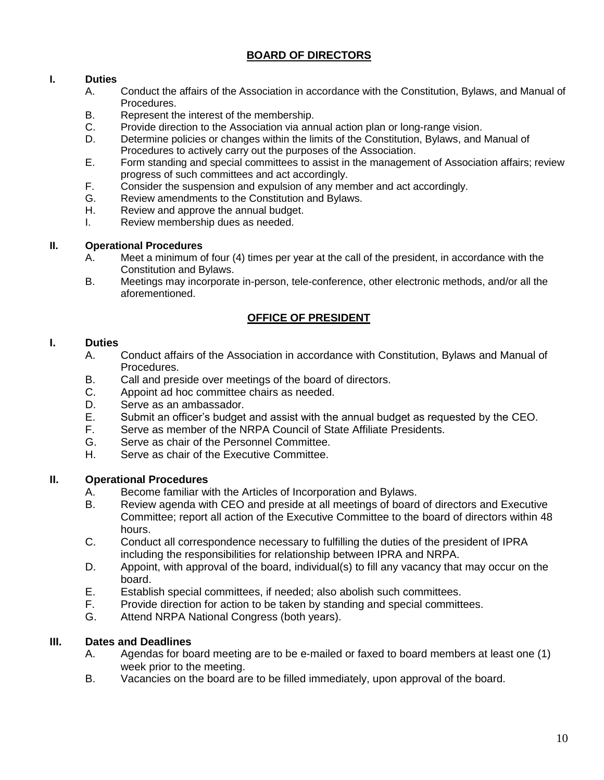# **BOARD OF DIRECTORS**

## **I. Duties**

- A. Conduct the affairs of the Association in accordance with the Constitution, Bylaws, and Manual of Procedures.
- B. Represent the interest of the membership.
- C. Provide direction to the Association via annual action plan or long-range vision.
- D. Determine policies or changes within the limits of the Constitution, Bylaws, and Manual of Procedures to actively carry out the purposes of the Association.
- E. Form standing and special committees to assist in the management of Association affairs; review progress of such committees and act accordingly.
- F. Consider the suspension and expulsion of any member and act accordingly.
- G. Review amendments to the Constitution and Bylaws.
- H. Review and approve the annual budget.
- I. Review membership dues as needed.

#### **II. Operational Procedures**

- A. Meet a minimum of four (4) times per year at the call of the president, in accordance with the Constitution and Bylaws.
- B. Meetings may incorporate in-person, tele-conference, other electronic methods, and/or all the aforementioned.

## **OFFICE OF PRESIDENT**

#### **I. Duties**

- A. Conduct affairs of the Association in accordance with Constitution, Bylaws and Manual of Procedures.
- B. Call and preside over meetings of the board of directors.
- C. Appoint ad hoc committee chairs as needed.
- D. Serve as an ambassador.
- E. Submit an officer's budget and assist with the annual budget as requested by the CEO.
- F. Serve as member of the NRPA Council of State Affiliate Presidents.
- G. Serve as chair of the Personnel Committee.
- H. Serve as chair of the Executive Committee.

### **II. Operational Procedures**

- A. Become familiar with the Articles of Incorporation and Bylaws.<br>B. Review agenda with CEO and preside at all meetings of board
- B. Review agenda with CEO and preside at all meetings of board of directors and Executive Committee; report all action of the Executive Committee to the board of directors within 48 hours.
- C. Conduct all correspondence necessary to fulfilling the duties of the president of IPRA including the responsibilities for relationship between IPRA and NRPA.
- D. Appoint, with approval of the board, individual(s) to fill any vacancy that may occur on the board.
- E. Establish special committees, if needed; also abolish such committees.
- F. Provide direction for action to be taken by standing and special committees.
- G. Attend NRPA National Congress (both years).

### **III. Dates and Deadlines**

- A. Agendas for board meeting are to be e-mailed or faxed to board members at least one (1) week prior to the meeting.
- B. Vacancies on the board are to be filled immediately, upon approval of the board.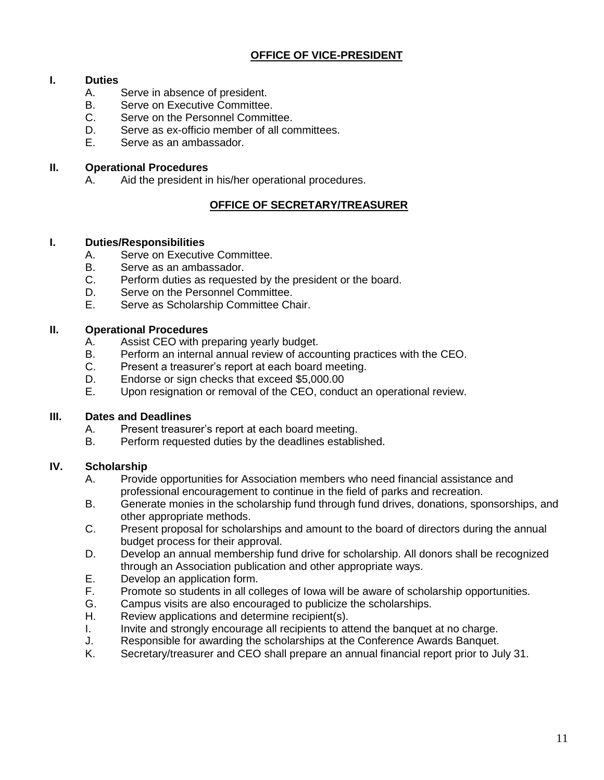# **OFFICE OF VICE-PRESIDENT**

## **I. Duties**

- A. Serve in absence of president.
- B. Serve on Executive Committee.
- C. Serve on the Personnel Committee.
- D. Serve as ex-officio member of all committees.<br>F. Serve as an ambassador.
- Serve as an ambassador.

## **II. Operational Procedures**

A. Aid the president in his/her operational procedures.

# **OFFICE OF SECRETARY/TREASURER**

## **I. Duties/Responsibilities**

- A. Serve on Executive Committee.
- B. Serve as an ambassador.
- C. Perform duties as requested by the president or the board.
- D. Serve on the Personnel Committee.
- E. Serve as Scholarship Committee Chair.

## **II. Operational Procedures**

- A. Assist CEO with preparing yearly budget.
- B. Perform an internal annual review of accounting practices with the CEO.
- C. Present a treasurer's report at each board meeting.
- D. Endorse or sign checks that exceed \$5,000.00
- E. Upon resignation or removal of the CEO, conduct an operational review.

## **III. Dates and Deadlines**

- A. Present treasurer's report at each board meeting.
- B. Perform requested duties by the deadlines established.

## **IV. Scholarship**

- A. Provide opportunities for Association members who need financial assistance and professional encouragement to continue in the field of parks and recreation.
- B. Generate monies in the scholarship fund through fund drives, donations, sponsorships, and other appropriate methods.
- C. Present proposal for scholarships and amount to the board of directors during the annual budget process for their approval.
- D. Develop an annual membership fund drive for scholarship. All donors shall be recognized through an Association publication and other appropriate ways.
- E. Develop an application form.
- F. Promote so students in all colleges of Iowa will be aware of scholarship opportunities.
- G. Campus visits are also encouraged to publicize the scholarships.
- H. Review applications and determine recipient(s).
- I. Invite and strongly encourage all recipients to attend the banquet at no charge.
- J. Responsible for awarding the scholarships at the Conference Awards Banquet.
- K. Secretary/treasurer and CEO shall prepare an annual financial report prior to July 31.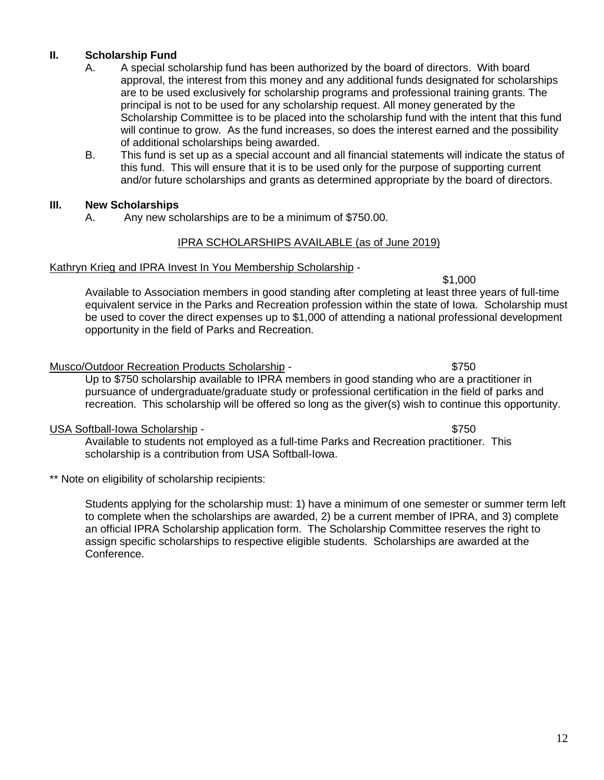# **II. Scholarship Fund**

- A. A special scholarship fund has been authorized by the board of directors. With board approval, the interest from this money and any additional funds designated for scholarships are to be used exclusively for scholarship programs and professional training grants. The principal is not to be used for any scholarship request. All money generated by the Scholarship Committee is to be placed into the scholarship fund with the intent that this fund will continue to grow. As the fund increases, so does the interest earned and the possibility of additional scholarships being awarded.
- B. This fund is set up as a special account and all financial statements will indicate the status of this fund. This will ensure that it is to be used only for the purpose of supporting current and/or future scholarships and grants as determined appropriate by the board of directors.

#### **III. New Scholarships**

A. Any new scholarships are to be a minimum of \$750.00.

### IPRA SCHOLARSHIPS AVAILABLE (as of June 2019)

#### Kathryn Krieg and IPRA Invest In You Membership Scholarship -

\$1,000 Available to Association members in good standing after completing at least three years of full-time equivalent service in the Parks and Recreation profession within the state of Iowa. Scholarship must be used to cover the direct expenses up to \$1,000 of attending a national professional development opportunity in the field of Parks and Recreation.

#### Musco/Outdoor Recreation Products Scholarship - \$750

Up to \$750 scholarship available to IPRA members in good standing who are a practitioner in pursuance of undergraduate/graduate study or professional certification in the field of parks and recreation. This scholarship will be offered so long as the giver(s) wish to continue this opportunity.

### USA Softball-Iowa Scholarship - \$750

Available to students not employed as a full-time Parks and Recreation practitioner. This scholarship is a contribution from USA Softball-Iowa.

\*\* Note on eligibility of scholarship recipients:

Students applying for the scholarship must: 1) have a minimum of one semester or summer term left to complete when the scholarships are awarded, 2) be a current member of IPRA, and 3) complete an official IPRA Scholarship application form. The Scholarship Committee reserves the right to assign specific scholarships to respective eligible students. Scholarships are awarded at the Conference.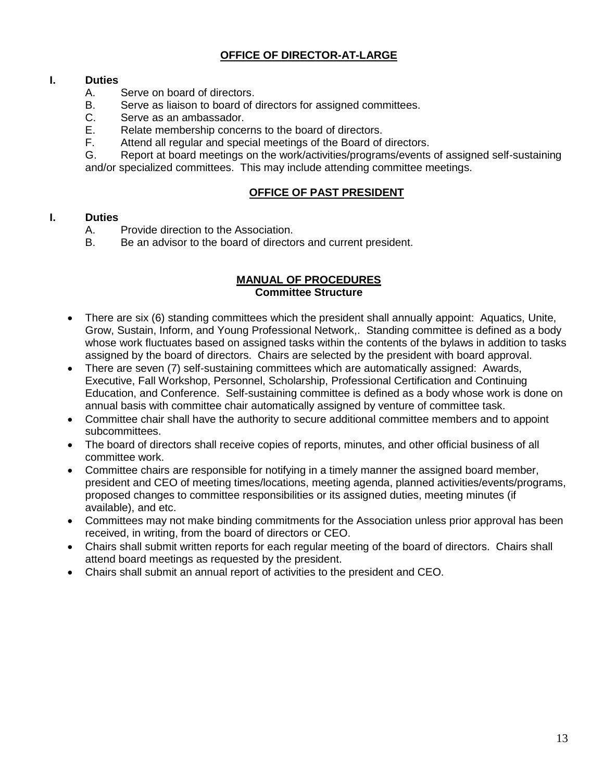# **OFFICE OF DIRECTOR-AT-LARGE**

## **I. Duties**

- A. Serve on board of directors.
- B. Serve as liaison to board of directors for assigned committees.
- C. Serve as an ambassador.<br>E. Relate membership conce
- E. Relate membership concerns to the board of directors.<br>F. Attend all regular and special meetings of the Board of
- Attend all regular and special meetings of the Board of directors.

G. Report at board meetings on the work/activities/programs/events of assigned self-sustaining

and/or specialized committees. This may include attending committee meetings.

#### **OFFICE OF PAST PRESIDENT**

### **I. Duties**

- A. Provide direction to the Association.
- B. Be an advisor to the board of directors and current president.

### **MANUAL OF PROCEDURES Committee Structure**

- There are six (6) standing committees which the president shall annually appoint: Aquatics, Unite, Grow, Sustain, Inform, and Young Professional Network,. Standing committee is defined as a body whose work fluctuates based on assigned tasks within the contents of the bylaws in addition to tasks assigned by the board of directors. Chairs are selected by the president with board approval.
- There are seven (7) self-sustaining committees which are automatically assigned: Awards, Executive, Fall Workshop, Personnel, Scholarship, Professional Certification and Continuing Education, and Conference. Self-sustaining committee is defined as a body whose work is done on annual basis with committee chair automatically assigned by venture of committee task.
- Committee chair shall have the authority to secure additional committee members and to appoint subcommittees.
- The board of directors shall receive copies of reports, minutes, and other official business of all committee work.
- Committee chairs are responsible for notifying in a timely manner the assigned board member, president and CEO of meeting times/locations, meeting agenda, planned activities/events/programs, proposed changes to committee responsibilities or its assigned duties, meeting minutes (if available), and etc.
- Committees may not make binding commitments for the Association unless prior approval has been received, in writing, from the board of directors or CEO.
- Chairs shall submit written reports for each regular meeting of the board of directors. Chairs shall attend board meetings as requested by the president.
- Chairs shall submit an annual report of activities to the president and CEO.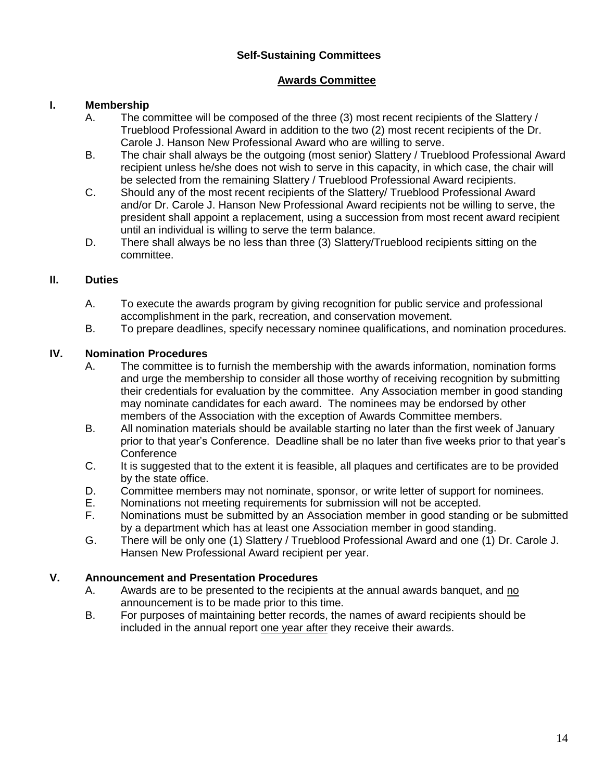## **Self-Sustaining Committees**

## **Awards Committee**

## **I. Membership**

- A. The committee will be composed of the three (3) most recent recipients of the Slattery / Trueblood Professional Award in addition to the two (2) most recent recipients of the Dr. Carole J. Hanson New Professional Award who are willing to serve.
- B. The chair shall always be the outgoing (most senior) Slattery / Trueblood Professional Award recipient unless he/she does not wish to serve in this capacity, in which case, the chair will be selected from the remaining Slattery / Trueblood Professional Award recipients.
- C. Should any of the most recent recipients of the Slattery/ Trueblood Professional Award and/or Dr. Carole J. Hanson New Professional Award recipients not be willing to serve, the president shall appoint a replacement, using a succession from most recent award recipient until an individual is willing to serve the term balance.
- D. There shall always be no less than three (3) Slattery/Trueblood recipients sitting on the committee.

## **II. Duties**

- A. To execute the awards program by giving recognition for public service and professional accomplishment in the park, recreation, and conservation movement.
- B. To prepare deadlines, specify necessary nominee qualifications, and nomination procedures.

## **IV. Nomination Procedures**

- A. The committee is to furnish the membership with the awards information, nomination forms and urge the membership to consider all those worthy of receiving recognition by submitting their credentials for evaluation by the committee. Any Association member in good standing may nominate candidates for each award. The nominees may be endorsed by other members of the Association with the exception of Awards Committee members.
- B. All nomination materials should be available starting no later than the first week of January prior to that year's Conference. Deadline shall be no later than five weeks prior to that year's **Conference**
- C. It is suggested that to the extent it is feasible, all plaques and certificates are to be provided by the state office.
- D. Committee members may not nominate, sponsor, or write letter of support for nominees.
- E. Nominations not meeting requirements for submission will not be accepted.
- F. Nominations must be submitted by an Association member in good standing or be submitted by a department which has at least one Association member in good standing.
- G. There will be only one (1) Slattery / Trueblood Professional Award and one (1) Dr. Carole J. Hansen New Professional Award recipient per year.

### **V. Announcement and Presentation Procedures**

- A. Awards are to be presented to the recipients at the annual awards banquet, and no announcement is to be made prior to this time.
- B. For purposes of maintaining better records, the names of award recipients should be included in the annual report one year after they receive their awards.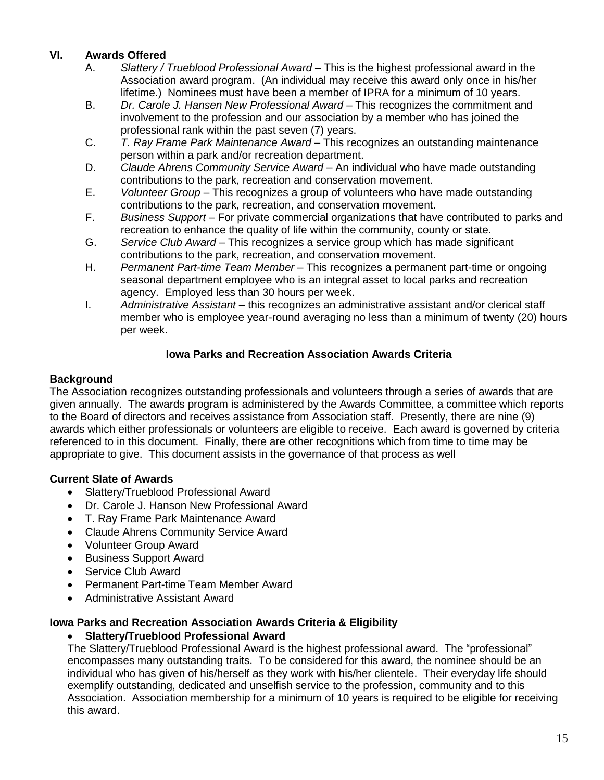## **VI. Awards Offered**

- A. *Slattery / Trueblood Professional Award* This is the highest professional award in the Association award program. (An individual may receive this award only once in his/her lifetime.) Nominees must have been a member of IPRA for a minimum of 10 years.
- B. *Dr. Carole J. Hansen New Professional Award* This recognizes the commitment and involvement to the profession and our association by a member who has joined the professional rank within the past seven (7) years.
- C. *T. Ray Frame Park Maintenance Award* This recognizes an outstanding maintenance person within a park and/or recreation department.
- D. *Claude Ahrens Community Service Award* An individual who have made outstanding contributions to the park, recreation and conservation movement.
- E. *Volunteer Group* This recognizes a group of volunteers who have made outstanding contributions to the park, recreation, and conservation movement.
- F. *Business Support* For private commercial organizations that have contributed to parks and recreation to enhance the quality of life within the community, county or state.
- G. *Service Club Award* This recognizes a service group which has made significant contributions to the park, recreation, and conservation movement.
- H. *Permanent Part-time Team Member* This recognizes a permanent part-time or ongoing seasonal department employee who is an integral asset to local parks and recreation agency. Employed less than 30 hours per week.
- I. *Administrative Assistant*  this recognizes an administrative assistant and/or clerical staff member who is employee year-round averaging no less than a minimum of twenty (20) hours per week.

## **Iowa Parks and Recreation Association Awards Criteria**

## **Background**

The Association recognizes outstanding professionals and volunteers through a series of awards that are given annually. The awards program is administered by the Awards Committee, a committee which reports to the Board of directors and receives assistance from Association staff. Presently, there are nine (9) awards which either professionals or volunteers are eligible to receive. Each award is governed by criteria referenced to in this document. Finally, there are other recognitions which from time to time may be appropriate to give. This document assists in the governance of that process as well

## **Current Slate of Awards**

- Slattery/Trueblood Professional Award
- Dr. Carole J. Hanson New Professional Award
- T. Ray Frame Park Maintenance Award
- Claude Ahrens Community Service Award
- Volunteer Group Award
- Business Support Award
- Service Club Award
- Permanent Part-time Team Member Award
- Administrative Assistant Award

### **Iowa Parks and Recreation Association Awards Criteria & Eligibility**

## • **Slattery/Trueblood Professional Award**

The Slattery/Trueblood Professional Award is the highest professional award. The "professional" encompasses many outstanding traits. To be considered for this award, the nominee should be an individual who has given of his/herself as they work with his/her clientele. Their everyday life should exemplify outstanding, dedicated and unselfish service to the profession, community and to this Association. Association membership for a minimum of 10 years is required to be eligible for receiving this award.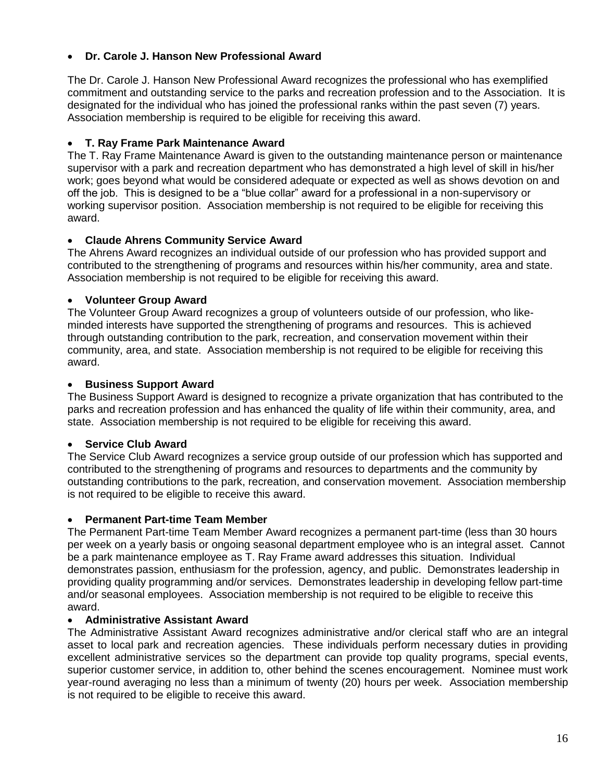## • **Dr. Carole J. Hanson New Professional Award**

The Dr. Carole J. Hanson New Professional Award recognizes the professional who has exemplified commitment and outstanding service to the parks and recreation profession and to the Association. It is designated for the individual who has joined the professional ranks within the past seven (7) years. Association membership is required to be eligible for receiving this award.

## • **T. Ray Frame Park Maintenance Award**

The T. Ray Frame Maintenance Award is given to the outstanding maintenance person or maintenance supervisor with a park and recreation department who has demonstrated a high level of skill in his/her work; goes beyond what would be considered adequate or expected as well as shows devotion on and off the job. This is designed to be a "blue collar" award for a professional in a non-supervisory or working supervisor position. Association membership is not required to be eligible for receiving this award.

### • **Claude Ahrens Community Service Award**

The Ahrens Award recognizes an individual outside of our profession who has provided support and contributed to the strengthening of programs and resources within his/her community, area and state. Association membership is not required to be eligible for receiving this award.

### • **Volunteer Group Award**

The Volunteer Group Award recognizes a group of volunteers outside of our profession, who likeminded interests have supported the strengthening of programs and resources. This is achieved through outstanding contribution to the park, recreation, and conservation movement within their community, area, and state. Association membership is not required to be eligible for receiving this award.

## • **Business Support Award**

The Business Support Award is designed to recognize a private organization that has contributed to the parks and recreation profession and has enhanced the quality of life within their community, area, and state. Association membership is not required to be eligible for receiving this award.

### • **Service Club Award**

The Service Club Award recognizes a service group outside of our profession which has supported and contributed to the strengthening of programs and resources to departments and the community by outstanding contributions to the park, recreation, and conservation movement. Association membership is not required to be eligible to receive this award.

### • **Permanent Part-time Team Member**

The Permanent Part-time Team Member Award recognizes a permanent part-time (less than 30 hours per week on a yearly basis or ongoing seasonal department employee who is an integral asset. Cannot be a park maintenance employee as T. Ray Frame award addresses this situation. Individual demonstrates passion, enthusiasm for the profession, agency, and public. Demonstrates leadership in providing quality programming and/or services. Demonstrates leadership in developing fellow part-time and/or seasonal employees. Association membership is not required to be eligible to receive this award.

### • **Administrative Assistant Award**

The Administrative Assistant Award recognizes administrative and/or clerical staff who are an integral asset to local park and recreation agencies. These individuals perform necessary duties in providing excellent administrative services so the department can provide top quality programs, special events, superior customer service, in addition to, other behind the scenes encouragement. Nominee must work year-round averaging no less than a minimum of twenty (20) hours per week. Association membership is not required to be eligible to receive this award.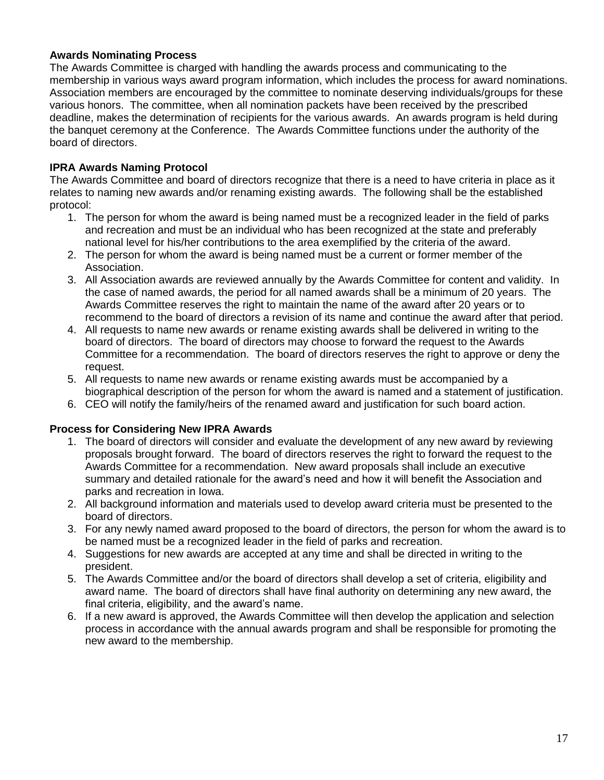## **Awards Nominating Process**

The Awards Committee is charged with handling the awards process and communicating to the membership in various ways award program information, which includes the process for award nominations. Association members are encouraged by the committee to nominate deserving individuals/groups for these various honors. The committee, when all nomination packets have been received by the prescribed deadline, makes the determination of recipients for the various awards. An awards program is held during the banquet ceremony at the Conference. The Awards Committee functions under the authority of the board of directors.

## **IPRA Awards Naming Protocol**

The Awards Committee and board of directors recognize that there is a need to have criteria in place as it relates to naming new awards and/or renaming existing awards. The following shall be the established protocol:

- 1. The person for whom the award is being named must be a recognized leader in the field of parks and recreation and must be an individual who has been recognized at the state and preferably national level for his/her contributions to the area exemplified by the criteria of the award.
- 2. The person for whom the award is being named must be a current or former member of the Association.
- 3. All Association awards are reviewed annually by the Awards Committee for content and validity. In the case of named awards, the period for all named awards shall be a minimum of 20 years. The Awards Committee reserves the right to maintain the name of the award after 20 years or to recommend to the board of directors a revision of its name and continue the award after that period.
- 4. All requests to name new awards or rename existing awards shall be delivered in writing to the board of directors. The board of directors may choose to forward the request to the Awards Committee for a recommendation. The board of directors reserves the right to approve or deny the request.
- 5. All requests to name new awards or rename existing awards must be accompanied by a biographical description of the person for whom the award is named and a statement of justification.
- 6. CEO will notify the family/heirs of the renamed award and justification for such board action.

### **Process for Considering New IPRA Awards**

- 1. The board of directors will consider and evaluate the development of any new award by reviewing proposals brought forward. The board of directors reserves the right to forward the request to the Awards Committee for a recommendation. New award proposals shall include an executive summary and detailed rationale for the award's need and how it will benefit the Association and parks and recreation in Iowa.
- 2. All background information and materials used to develop award criteria must be presented to the board of directors.
- 3. For any newly named award proposed to the board of directors, the person for whom the award is to be named must be a recognized leader in the field of parks and recreation.
- 4. Suggestions for new awards are accepted at any time and shall be directed in writing to the president.
- 5. The Awards Committee and/or the board of directors shall develop a set of criteria, eligibility and award name. The board of directors shall have final authority on determining any new award, the final criteria, eligibility, and the award's name.
- 6. If a new award is approved, the Awards Committee will then develop the application and selection process in accordance with the annual awards program and shall be responsible for promoting the new award to the membership.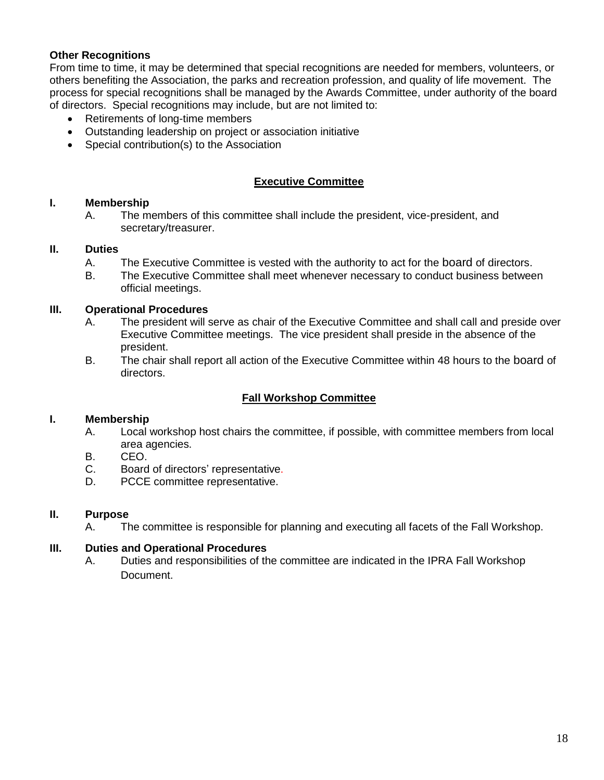## **Other Recognitions**

From time to time, it may be determined that special recognitions are needed for members, volunteers, or others benefiting the Association, the parks and recreation profession, and quality of life movement. The process for special recognitions shall be managed by the Awards Committee, under authority of the board of directors. Special recognitions may include, but are not limited to:

- Retirements of long-time members
- Outstanding leadership on project or association initiative
- Special contribution(s) to the Association

## **Executive Committee**

### **I. Membership**

A. The members of this committee shall include the president, vice-president, and secretary/treasurer.

#### **II. Duties**

- A. The Executive Committee is vested with the authority to act for the board of directors.
- B. The Executive Committee shall meet whenever necessary to conduct business between official meetings.

#### **III. Operational Procedures**

- A. The president will serve as chair of the Executive Committee and shall call and preside over Executive Committee meetings. The vice president shall preside in the absence of the president.
- B. The chair shall report all action of the Executive Committee within 48 hours to the board of directors.

### **Fall Workshop Committee**

### **I. Membership**

- A. Local workshop host chairs the committee, if possible, with committee members from local area agencies.
- B. CEO.
- C. Board of directors' representative.
- D. PCCE committee representative.

### **II. Purpose**

A. The committee is responsible for planning and executing all facets of the Fall Workshop.

## **III. Duties and Operational Procedures**

A. Duties and responsibilities of the committee are indicated in the IPRA Fall Workshop Document.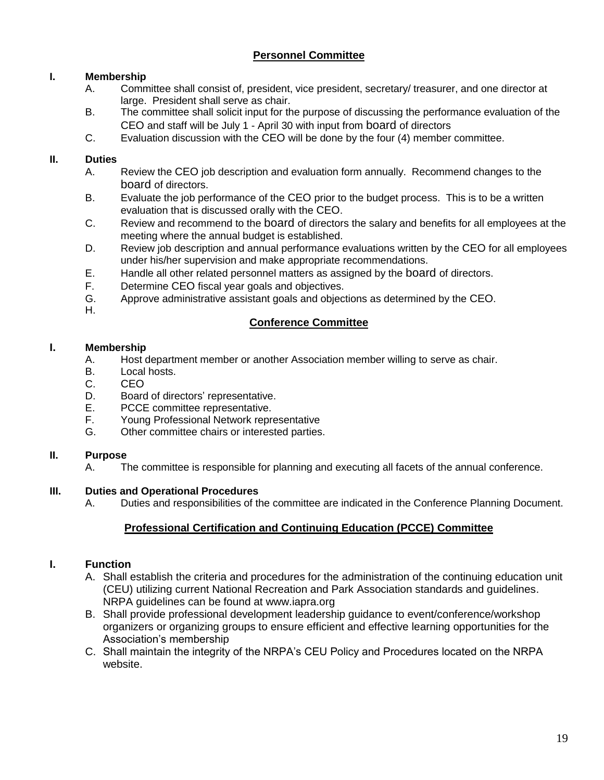# **Personnel Committee**

## **I. Membership**

- A. Committee shall consist of, president, vice president, secretary/ treasurer, and one director at large. President shall serve as chair.
- B. The committee shall solicit input for the purpose of discussing the performance evaluation of the CEO and staff will be July 1 - April 30 with input from board of directors
- C. Evaluation discussion with the CEO will be done by the four (4) member committee.

## **II. Duties**

- A. Review the CEO job description and evaluation form annually. Recommend changes to the board of directors.
- B. Evaluate the job performance of the CEO prior to the budget process. This is to be a written evaluation that is discussed orally with the CEO.
- C. Review and recommend to the board of directors the salary and benefits for all employees at the meeting where the annual budget is established.
- D. Review job description and annual performance evaluations written by the CEO for all employees under his/her supervision and make appropriate recommendations.
- E. Handle all other related personnel matters as assigned by the board of directors.
- F. Determine CEO fiscal year goals and objectives.
- G. Approve administrative assistant goals and objections as determined by the CEO.
- H.

## **Conference Committee**

### **I. Membership**

- A. Host department member or another Association member willing to serve as chair.
- B. Local hosts.
- C. CEO
- D. Board of directors' representative.
- E. PCCE committee representative.
- F. Young Professional Network representative
- G. Other committee chairs or interested parties.

#### **II. Purpose**

A. The committee is responsible for planning and executing all facets of the annual conference.

### **III. Duties and Operational Procedures**

A. Duties and responsibilities of the committee are indicated in the Conference Planning Document.

## **Professional Certification and Continuing Education (PCCE) Committee**

### **I. Function**

- A. Shall establish the criteria and procedures for the administration of the continuing education unit (CEU) utilizing current National Recreation and Park Association standards and guidelines. NRPA guidelines can be found at www.iapra.org
- B. Shall provide professional development leadership guidance to event/conference/workshop organizers or organizing groups to ensure efficient and effective learning opportunities for the Association's membership
- C. Shall maintain the integrity of the NRPA's CEU Policy and Procedures located on the NRPA website.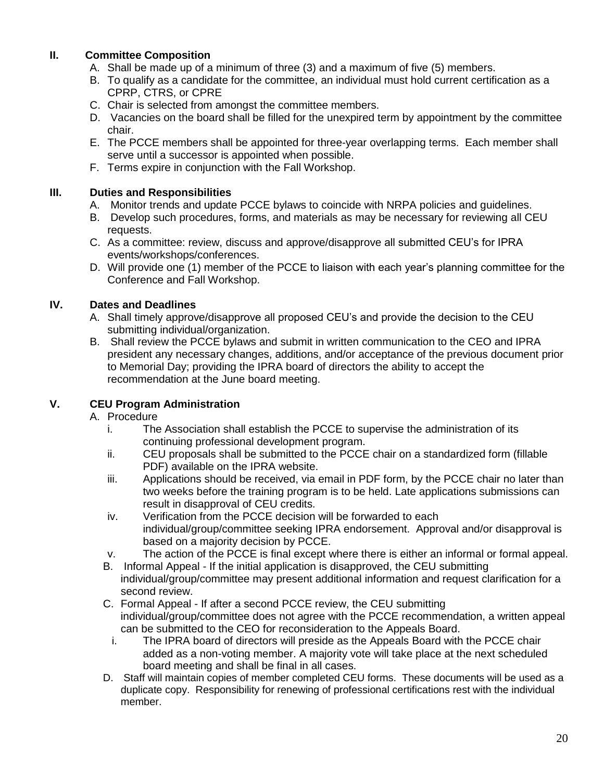## **II. Committee Composition**

- A. Shall be made up of a minimum of three (3) and a maximum of five (5) members.
- B. To qualify as a candidate for the committee, an individual must hold current certification as a CPRP, CTRS, or CPRE
- C. Chair is selected from amongst the committee members.
- D. Vacancies on the board shall be filled for the unexpired term by appointment by the committee chair.
- E. The PCCE members shall be appointed for three-year overlapping terms. Each member shall serve until a successor is appointed when possible.
- F. Terms expire in conjunction with the Fall Workshop.

## **III. Duties and Responsibilities**

- A. Monitor trends and update PCCE bylaws to coincide with NRPA policies and guidelines.
- B. Develop such procedures, forms, and materials as may be necessary for reviewing all CEU requests.
- C. As a committee: review, discuss and approve/disapprove all submitted CEU's for IPRA events/workshops/conferences.
- D. Will provide one (1) member of the PCCE to liaison with each year's planning committee for the Conference and Fall Workshop.

## **IV. Dates and Deadlines**

- A. Shall timely approve/disapprove all proposed CEU's and provide the decision to the CEU submitting individual/organization.
- B. Shall review the PCCE bylaws and submit in written communication to the CEO and IPRA president any necessary changes, additions, and/or acceptance of the previous document prior to Memorial Day; providing the IPRA board of directors the ability to accept the recommendation at the June board meeting.

## **V. CEU Program Administration**

### A. Procedure

- i. The Association shall establish the PCCE to supervise the administration of its continuing professional development program.
- ii. CEU proposals shall be submitted to the PCCE chair on a standardized form (fillable PDF) available on the IPRA website.
- iii. Applications should be received, via email in PDF form, by the PCCE chair no later than two weeks before the training program is to be held. Late applications submissions can result in disapproval of CEU credits.
- iv. Verification from the PCCE decision will be forwarded to each individual/group/committee seeking IPRA endorsement. Approval and/or disapproval is based on a majority decision by PCCE.
- v. The action of the PCCE is final except where there is either an informal or formal appeal.
- B. Informal Appeal If the initial application is disapproved, the CEU submitting individual/group/committee may present additional information and request clarification for a second review.
- C. Formal Appeal If after a second PCCE review, the CEU submitting individual/group/committee does not agree with the PCCE recommendation, a written appeal can be submitted to the CEO for reconsideration to the Appeals Board.
	- i. The IPRA board of directors will preside as the Appeals Board with the PCCE chair added as a non-voting member. A majority vote will take place at the next scheduled board meeting and shall be final in all cases.
- D. Staff will maintain copies of member completed CEU forms. These documents will be used as a duplicate copy. Responsibility for renewing of professional certifications rest with the individual member.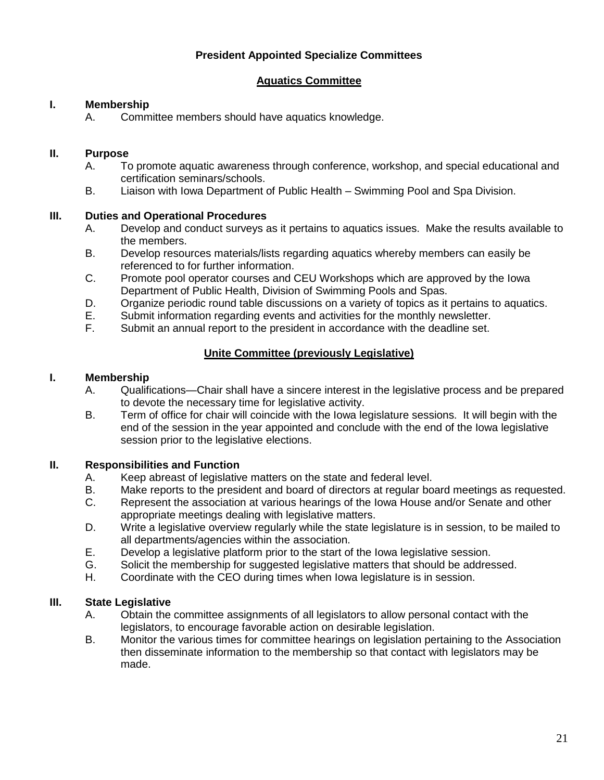## **President Appointed Specialize Committees**

## **Aquatics Committee**

## **I. Membership**

A. Committee members should have aquatics knowledge.

## **II. Purpose**

- A. To promote aquatic awareness through conference, workshop, and special educational and certification seminars/schools.
- B. Liaison with Iowa Department of Public Health Swimming Pool and Spa Division.

### **III. Duties and Operational Procedures**

- A. Develop and conduct surveys as it pertains to aquatics issues. Make the results available to the members.
- B. Develop resources materials/lists regarding aquatics whereby members can easily be referenced to for further information.
- C. Promote pool operator courses and CEU Workshops which are approved by the Iowa Department of Public Health, Division of Swimming Pools and Spas.
- D. Organize periodic round table discussions on a variety of topics as it pertains to aquatics.
- E. Submit information regarding events and activities for the monthly newsletter.<br>F. Submit an annual report to the president in accordance with the deadline set.
- Submit an annual report to the president in accordance with the deadline set.

## **Unite Committee (previously Legislative)**

## **I. Membership**

- A. Qualifications—Chair shall have a sincere interest in the legislative process and be prepared to devote the necessary time for legislative activity.
- B. Term of office for chair will coincide with the Iowa legislature sessions. It will begin with the end of the session in the year appointed and conclude with the end of the Iowa legislative session prior to the legislative elections.

## **II. Responsibilities and Function**

- A. Keep abreast of legislative matters on the state and federal level.
- B. Make reports to the president and board of directors at regular board meetings as requested.
- C. Represent the association at various hearings of the Iowa House and/or Senate and other appropriate meetings dealing with legislative matters.
- D. Write a legislative overview regularly while the state legislature is in session, to be mailed to all departments/agencies within the association.
- E. Develop a legislative platform prior to the start of the Iowa legislative session.
- G. Solicit the membership for suggested legislative matters that should be addressed.
- H. Coordinate with the CEO during times when Iowa legislature is in session.

### **III. State Legislative**

- A. Obtain the committee assignments of all legislators to allow personal contact with the legislators, to encourage favorable action on desirable legislation.
- B. Monitor the various times for committee hearings on legislation pertaining to the Association then disseminate information to the membership so that contact with legislators may be made.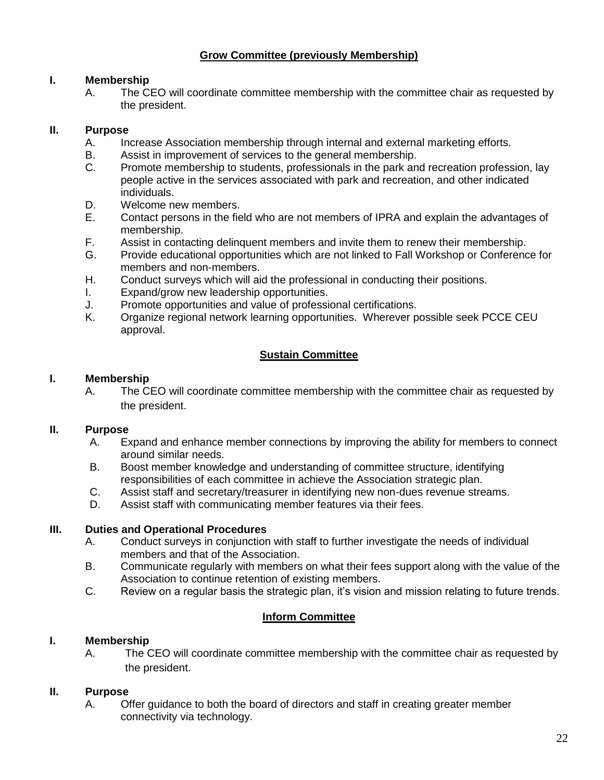## **Grow Committee (previously Membership)**

## **I. Membership**

A. The CEO will coordinate committee membership with the committee chair as requested by the president.

## **II. Purpose**

- A. Increase Association membership through internal and external marketing efforts.
- B. Assist in improvement of services to the general membership.
- C. Promote membership to students, professionals in the park and recreation profession, lay people active in the services associated with park and recreation, and other indicated individuals.
- D. Welcome new members.
- E. Contact persons in the field who are not members of IPRA and explain the advantages of membership.
- F. Assist in contacting delinquent members and invite them to renew their membership.
- G. Provide educational opportunities which are not linked to Fall Workshop or Conference for members and non-members.
- H. Conduct surveys which will aid the professional in conducting their positions.
- I. Expand/grow new leadership opportunities.
- J. Promote opportunities and value of professional certifications.
- Organize regional network learning opportunities. Wherever possible seek PCCE CEU approval.

# **Sustain Committee**

## **I. Membership**

A. The CEO will coordinate committee membership with the committee chair as requested by the president.

### **II. Purpose**

- A. Expand and enhance member connections by improving the ability for members to connect around similar needs.
- B. Boost member knowledge and understanding of committee structure, identifying responsibilities of each committee in achieve the Association strategic plan.
- C. Assist staff and secretary/treasurer in identifying new non-dues revenue streams.
- D. Assist staff with communicating member features via their fees.

### **III. Duties and Operational Procedures**

- A. Conduct surveys in conjunction with staff to further investigate the needs of individual members and that of the Association.
- B. Communicate regularly with members on what their fees support along with the value of the Association to continue retention of existing members.
- C. Review on a regular basis the strategic plan, it's vision and mission relating to future trends.

## **Inform Committee**

## **I. Membership**

A. The CEO will coordinate committee membership with the committee chair as requested by the president.

### **II. Purpose**

A. Offer guidance to both the board of directors and staff in creating greater member connectivity via technology.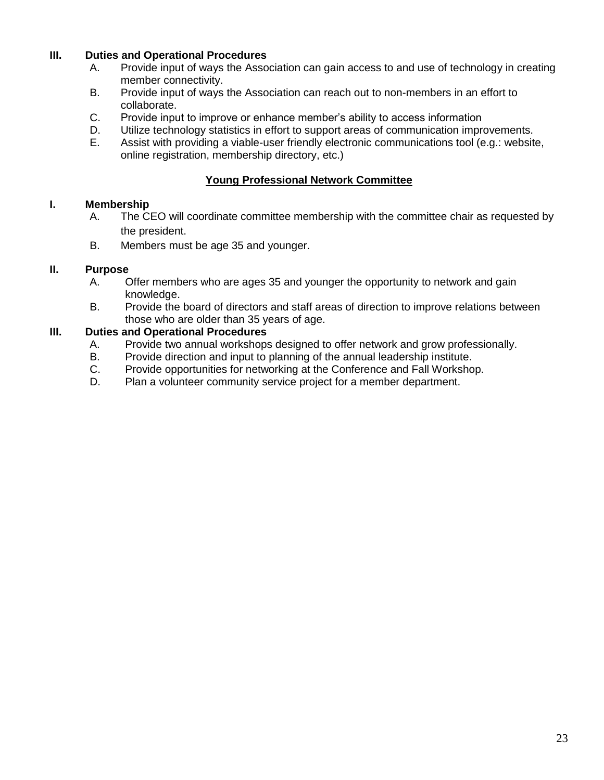## **III. Duties and Operational Procedures**

- A. Provide input of ways the Association can gain access to and use of technology in creating member connectivity.
- B. Provide input of ways the Association can reach out to non-members in an effort to collaborate.
- C. Provide input to improve or enhance member's ability to access information
- D. Utilize technology statistics in effort to support areas of communication improvements.
- E. Assist with providing a viable-user friendly electronic communications tool (e.g.: website, online registration, membership directory, etc.)

## **Young Professional Network Committee**

### **I. Membership**

- A. The CEO will coordinate committee membership with the committee chair as requested by the president.
- B. Members must be age 35 and younger.

## **II. Purpose**

- A. Offer members who are ages 35 and younger the opportunity to network and gain knowledge.
- B. Provide the board of directors and staff areas of direction to improve relations between those who are older than 35 years of age.

## **III. Duties and Operational Procedures**

- A. Provide two annual workshops designed to offer network and grow professionally.
- B. Provide direction and input to planning of the annual leadership institute.
- C. Provide opportunities for networking at the Conference and Fall Workshop.
- D. Plan a volunteer community service project for a member department.